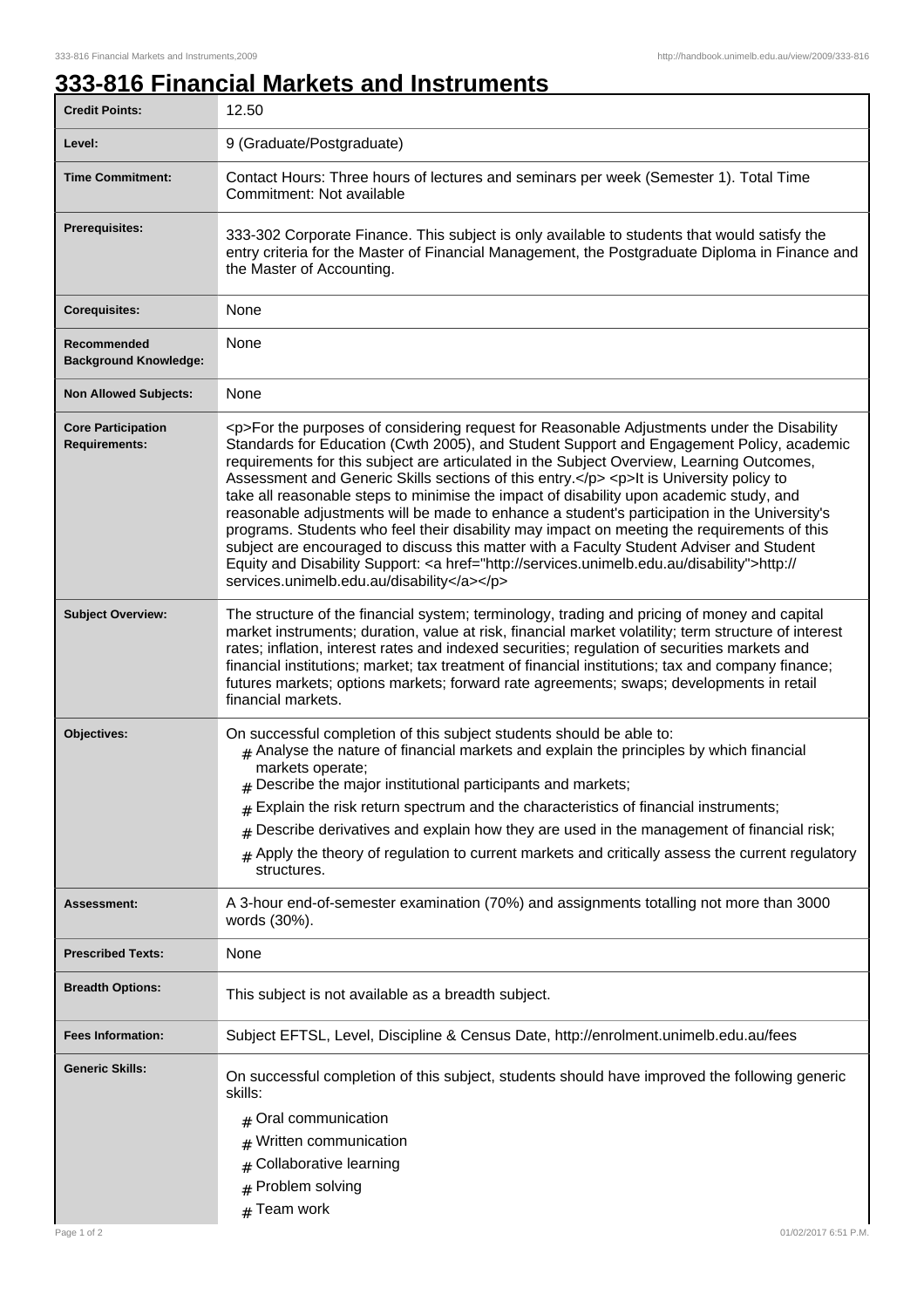## **333-816 Financial Markets and Instruments**

| <b>Credit Points:</b>                             | 12.50                                                                                                                                                                                                                                                                                                                                                                                                                                                                                                                                                                                                                                                                                                                                                                                                                                                                                                                        |
|---------------------------------------------------|------------------------------------------------------------------------------------------------------------------------------------------------------------------------------------------------------------------------------------------------------------------------------------------------------------------------------------------------------------------------------------------------------------------------------------------------------------------------------------------------------------------------------------------------------------------------------------------------------------------------------------------------------------------------------------------------------------------------------------------------------------------------------------------------------------------------------------------------------------------------------------------------------------------------------|
| Level:                                            | 9 (Graduate/Postgraduate)                                                                                                                                                                                                                                                                                                                                                                                                                                                                                                                                                                                                                                                                                                                                                                                                                                                                                                    |
| <b>Time Commitment:</b>                           | Contact Hours: Three hours of lectures and seminars per week (Semester 1). Total Time<br>Commitment: Not available                                                                                                                                                                                                                                                                                                                                                                                                                                                                                                                                                                                                                                                                                                                                                                                                           |
| <b>Prerequisites:</b>                             | 333-302 Corporate Finance. This subject is only available to students that would satisfy the<br>entry criteria for the Master of Financial Management, the Postgraduate Diploma in Finance and<br>the Master of Accounting.                                                                                                                                                                                                                                                                                                                                                                                                                                                                                                                                                                                                                                                                                                  |
| <b>Corequisites:</b>                              | None                                                                                                                                                                                                                                                                                                                                                                                                                                                                                                                                                                                                                                                                                                                                                                                                                                                                                                                         |
| Recommended<br><b>Background Knowledge:</b>       | None                                                                                                                                                                                                                                                                                                                                                                                                                                                                                                                                                                                                                                                                                                                                                                                                                                                                                                                         |
| <b>Non Allowed Subjects:</b>                      | None                                                                                                                                                                                                                                                                                                                                                                                                                                                                                                                                                                                                                                                                                                                                                                                                                                                                                                                         |
| <b>Core Participation</b><br><b>Requirements:</b> | <p>For the purposes of considering request for Reasonable Adjustments under the Disability<br/>Standards for Education (Cwth 2005), and Student Support and Engagement Policy, academic<br/>requirements for this subject are articulated in the Subject Overview, Learning Outcomes,<br/>Assessment and Generic Skills sections of this entry.</p> <p>lt is University policy to<br/>take all reasonable steps to minimise the impact of disability upon academic study, and<br/>reasonable adjustments will be made to enhance a student's participation in the University's<br/>programs. Students who feel their disability may impact on meeting the requirements of this<br/>subject are encouraged to discuss this matter with a Faculty Student Adviser and Student<br/>Equity and Disability Support: &lt; a href="http://services.unimelb.edu.au/disability"&gt;http://<br/>services.unimelb.edu.au/disability</p> |
| <b>Subject Overview:</b>                          | The structure of the financial system; terminology, trading and pricing of money and capital<br>market instruments; duration, value at risk, financial market volatility; term structure of interest<br>rates; inflation, interest rates and indexed securities; regulation of securities markets and<br>financial institutions; market; tax treatment of financial institutions; tax and company finance;<br>futures markets; options markets; forward rate agreements; swaps; developments in retail<br>financial markets.                                                                                                                                                                                                                                                                                                                                                                                                 |
| Objectives:                                       | On successful completion of this subject students should be able to:<br>$#$ Analyse the nature of financial markets and explain the principles by which financial<br>markets operate;<br>$#$ Describe the major institutional participants and markets;<br>$*$ Explain the risk return spectrum and the characteristics of financial instruments;<br>Describe derivatives and explain how they are used in the management of financial risk;<br>#<br>Apply the theory of regulation to current markets and critically assess the current regulatory<br>#<br>structures.                                                                                                                                                                                                                                                                                                                                                      |
| <b>Assessment:</b>                                | A 3-hour end-of-semester examination (70%) and assignments totalling not more than 3000<br>words (30%).                                                                                                                                                                                                                                                                                                                                                                                                                                                                                                                                                                                                                                                                                                                                                                                                                      |
| <b>Prescribed Texts:</b>                          | None                                                                                                                                                                                                                                                                                                                                                                                                                                                                                                                                                                                                                                                                                                                                                                                                                                                                                                                         |
| <b>Breadth Options:</b>                           | This subject is not available as a breadth subject.                                                                                                                                                                                                                                                                                                                                                                                                                                                                                                                                                                                                                                                                                                                                                                                                                                                                          |
| <b>Fees Information:</b>                          | Subject EFTSL, Level, Discipline & Census Date, http://enrolment.unimelb.edu.au/fees                                                                                                                                                                                                                                                                                                                                                                                                                                                                                                                                                                                                                                                                                                                                                                                                                                         |
| Generic Skills:                                   | On successful completion of this subject, students should have improved the following generic<br>skills:<br>Oral communication<br>Written communication<br>Collaborative learning<br>Problem solving<br>#<br>$#$ Team work                                                                                                                                                                                                                                                                                                                                                                                                                                                                                                                                                                                                                                                                                                   |